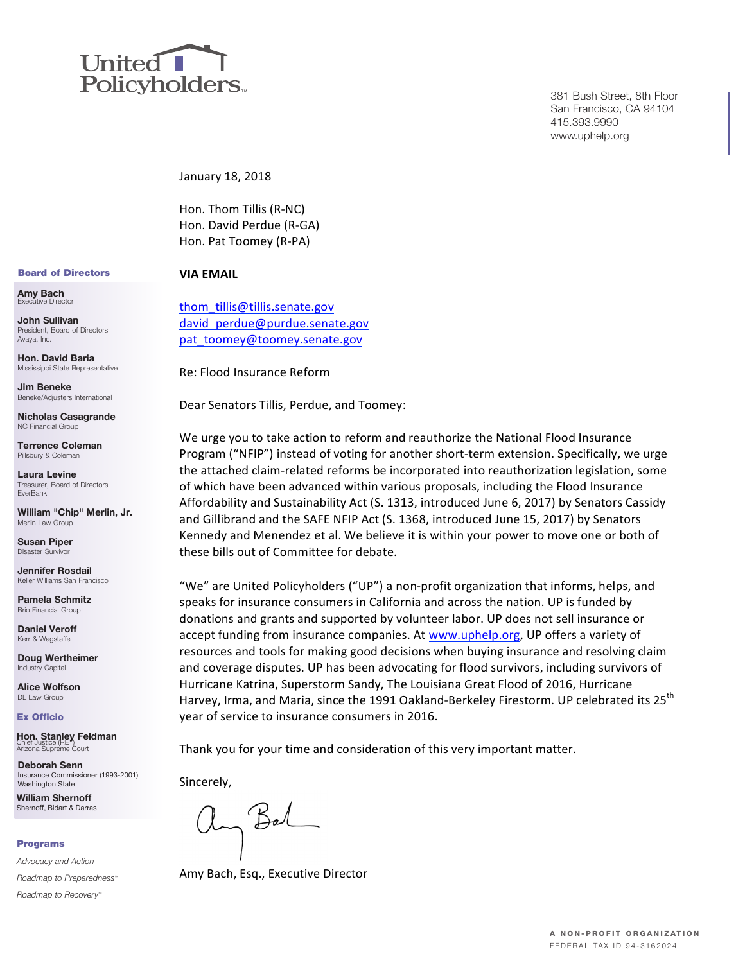

381 Bush Street, 8th Floor San Francisco, CA 94104 415.393.9990 www.uphelp.org

January 18, 2018

Hon. Thom Tillis (R-NC) Hon. David Perdue (R-GA) Hon. Pat Toomey (R-PA)

#### Board of Directors

**Amy Bach**<br>Executive Director

**John Sullivan** President, Board of Directors Avaya, Inc.

**Hon. David Baria** Mississippi State Representative

**Jim Beneke** Beneke/Adjusters International

**Nicholas Casagrande** NC Financial Group

**Terrence Coleman** Pillsbury & Coleman

**Laura Levine** Treasurer, Board of Directors EverBank

**William "Chip" Merlin, Jr.** Merlin Law Group

**Susan Piper** Disaster Surv

**Jennifer Rosdail** Keller Williams San Francisco

**Pamela Schmitz** Brio Financial Group

**Daniel Veroff** Kerr & Wagstaffe

**Doug Wertheimer** Industry Capital

**Alice Wolfson** DL Law Group

Ex Officio

**Hon. Stanley Feldman** Chief Justice (RET) Arizona Supreme Court

**Deborah Senn** Insurance Commissioner (1993-2001) Washington State

**William Shernoff** Shernoff, Bidart & Darras

#### Programs

*Advocacy and Action Roadmap to Preparedness™*

*Roadmap to Recovery™*

# **VIA EMAIL**

thom\_tillis@tillis.senate.gov david perdue@purdue.senate.gov pat\_toomey@toomey.senate.gov

Re: Flood Insurance Reform

Dear Senators Tillis, Perdue, and Toomey:

We urge you to take action to reform and reauthorize the National Flood Insurance Program ("NFIP") instead of voting for another short-term extension. Specifically, we urge the attached claim-related reforms be incorporated into reauthorization legislation, some of which have been advanced within various proposals, including the Flood Insurance Affordability and Sustainability Act (S. 1313, introduced June 6, 2017) by Senators Cassidy and Gillibrand and the SAFE NFIP Act (S. 1368, introduced June 15, 2017) by Senators Kennedy and Menendez et al. We believe it is within your power to move one or both of these bills out of Committee for debate.

"We" are United Policyholders ("UP") a non-profit organization that informs, helps, and speaks for insurance consumers in California and across the nation. UP is funded by donations and grants and supported by volunteer labor. UP does not sell insurance or accept funding from insurance companies. At www.uphelp.org, UP offers a variety of resources and tools for making good decisions when buying insurance and resolving claim and coverage disputes. UP has been advocating for flood survivors, including survivors of Hurricane Katrina, Superstorm Sandy, The Louisiana Great Flood of 2016, Hurricane Harvey, Irma, and Maria, since the 1991 Oakland-Berkeley Firestorm. UP celebrated its 25<sup>th</sup> year of service to insurance consumers in 2016.

Thank you for your time and consideration of this very important matter.

Sincerely,

Bal

Amy Bach, Esq., Executive Director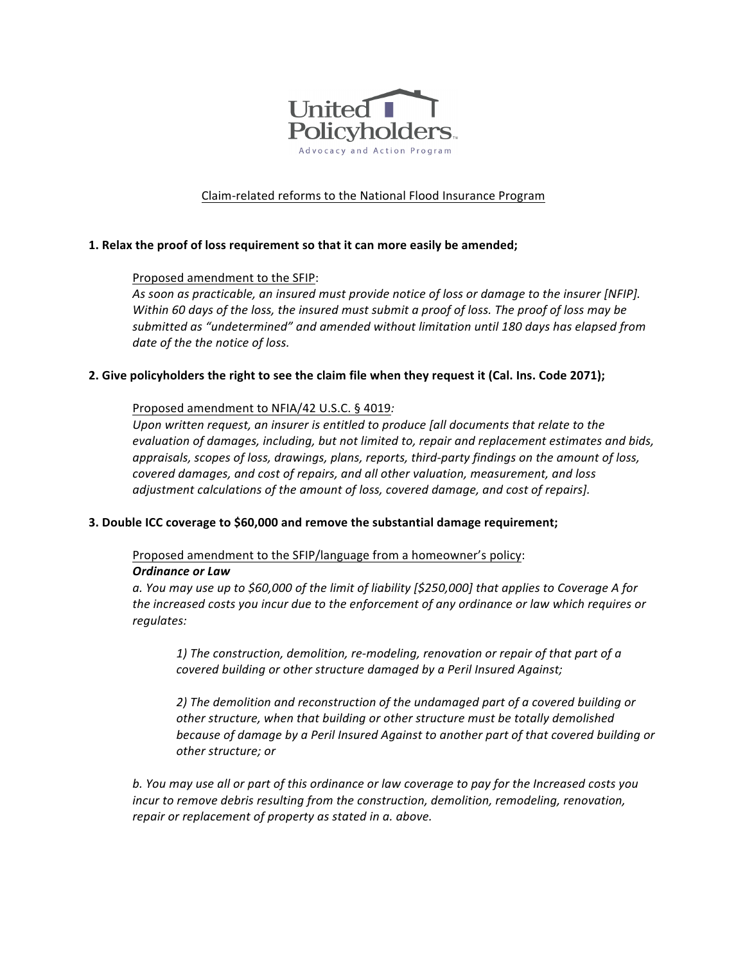

# Claim-related reforms to the National Flood Insurance Program

## **1.** Relax the proof of loss requirement so that it can more easily be amended;

## Proposed amendment to the SFIP:

As soon as practicable, an insured must provide notice of loss or damage to the insurer [NFIP]. *Within* 60 days of the loss, the insured must submit a proof of loss. The proof of loss may be *submitted as "undetermined" and amended without limitation until 180 days has elapsed from* date of the the notice of loss.

## **2.** Give policyholders the right to see the claim file when they request it (Cal. Ins. Code 2071);

## Proposed amendment to NFIA/42 U.S.C. § 4019:

Upon written request, an insurer is entitled to produce [all documents that relate to the evaluation of damages, including, but not limited to, repair and replacement estimates and bids, *appraisals, scopes of loss, drawings, plans, reports, third-party findings on the amount of loss, covered damages, and cost of repairs, and all other valuation, measurement, and loss adjustment calculations of the amount of loss, covered damage, and cost of repairs].* 

#### **3.** Double ICC coverage to \$60,000 and remove the substantial damage requirement;

Proposed amendment to the SFIP/language from a homeowner's policy: *Ordinance or Law*

a. You may use up to \$60,000 of the limit of liability [\$250,000] that applies to Coverage A for the increased costs you incur due to the enforcement of any ordinance or law which requires or *regulates:*

*1)* The construction, demolition, re-modeling, renovation or repair of that part of a *covered building or other structure damaged by a Peril Insured Against;* 

2) The demolition and reconstruction of the undamaged part of a covered building or other structure, when that building or other structure must be totally demolished because of damage by a Peril Insured Against to another part of that covered building or *other structure; or*

b. You may use all or part of this ordinance or law coverage to pay for the Increased costs you *incur* to remove debris resulting from the construction, demolition, remodeling, renovation, repair or replacement of property as stated in a. above.